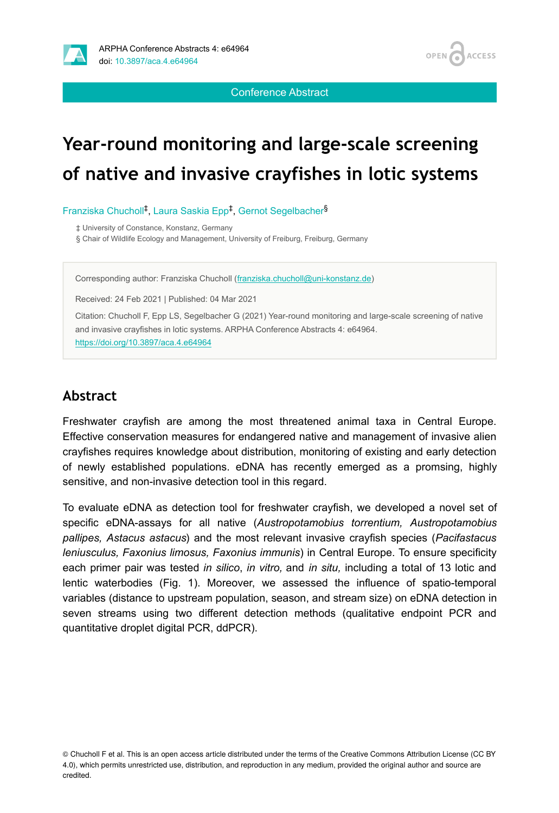

**ACCESS** OPEN 4

Conference Abstract

# **Year-round monitoring and large-scale screening of native and invasive crayfishes in lotic systems**

Franziska Chucholl<sup>‡</sup>, Laura Saskia Epp<sup>‡</sup>, Gernot Segelbacher<sup>§</sup>

‡ University of Constance, Konstanz, Germany

§ Chair of Wildlife Ecology and Management, University of Freiburg, Freiburg, Germany

Corresponding author: Franziska Chucholl [\(franziska.chucholl@uni-konstanz.de](mailto:franziska.chucholl@uni-konstanz.de))

Received: 24 Feb 2021 | Published: 04 Mar 2021

Citation: Chucholl F, Epp LS, Segelbacher G (2021) Year-round monitoring and large-scale screening of native and invasive crayfishes in lotic systems. ARPHA Conference Abstracts 4: e64964. <https://doi.org/10.3897/aca.4.e64964>

## **Abstract**

Freshwater crayfish are among the most threatened animal taxa in Central Europe. Effective conservation measures for endangered native and management of invasive alien crayfishes requires knowledge about distribution, monitoring of existing and early detection of newly established populations. eDNA has recently emerged as a promsing, highly sensitive, and non-invasive detection tool in this regard.

To evaluate eDNA as detection tool for freshwater crayfish, we developed a novel set of specific eDNA-assays for all native (*Austropotamobius torrentium, Austropotamobius pallipes, Astacus astacus*) and the most relevant invasive crayfish species (*Pacifastacus leniusculus, Faxonius limosus, Faxonius immunis*) in Central Europe. To ensure specificity each primer pair was tested *in silico*, *in vitro,* and *in situ,* including a total of 13 lotic and lentic waterbodies (Fig. 1). Moreover, we assessed the influence of spatio-temporal variables (distance to upstream population, season, and stream size) on eDNA detection in seven streams using two different detection methods (qualitative endpoint PCR and quantitative droplet digital PCR, ddPCR).

© Chucholl F et al. This is an open access article distributed under the terms of the Creative Commons Attribution License (CC BY 4.0), which permits unrestricted use, distribution, and reproduction in any medium, provided the original author and source are credited.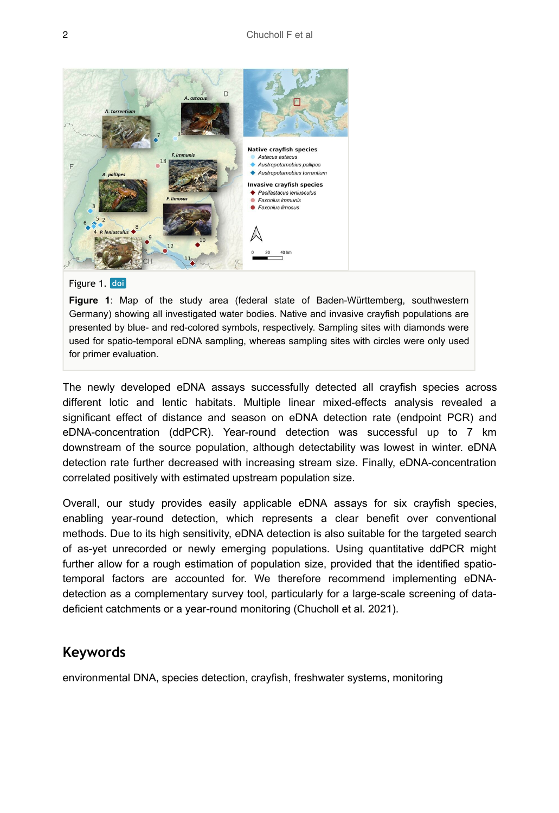

#### Figure 1. doi

**Figure 1**: Map of the study area (federal state of Baden-Württemberg, southwestern Germany) showing all investigated water bodies. Native and invasive crayfish populations are presented by blue- and red-colored symbols, respectively. Sampling sites with diamonds were used for spatio-temporal eDNA sampling, whereas sampling sites with circles were only used for primer evaluation.

The newly developed eDNA assays successfully detected all crayfish species across different lotic and lentic habitats. Multiple linear mixed-effects analysis revealed a significant effect of distance and season on eDNA detection rate (endpoint PCR) and eDNA-concentration (ddPCR). Year-round detection was successful up to 7 km downstream of the source population, although detectability was lowest in winter. eDNA detection rate further decreased with increasing stream size. Finally, eDNA-concentration correlated positively with estimated upstream population size.

Overall, our study provides easily applicable eDNA assays for six crayfish species, enabling year-round detection, which represents a clear benefit over conventional methods. Due to its high sensitivity, eDNA detection is also suitable for the targeted search of as-yet unrecorded or newly emerging populations. Using quantitative ddPCR might further allow for a rough estimation of population size, provided that the identified spatiotemporal factors are accounted for. We therefore recommend implementing eDNAdetection as a complementary survey tool, particularly for a large-scale screening of datadeficient catchments or a year-round monitoring (Chucholl et al. 2021).

#### **Keywords**

environmental DNA, species detection, crayfish, freshwater systems, monitoring